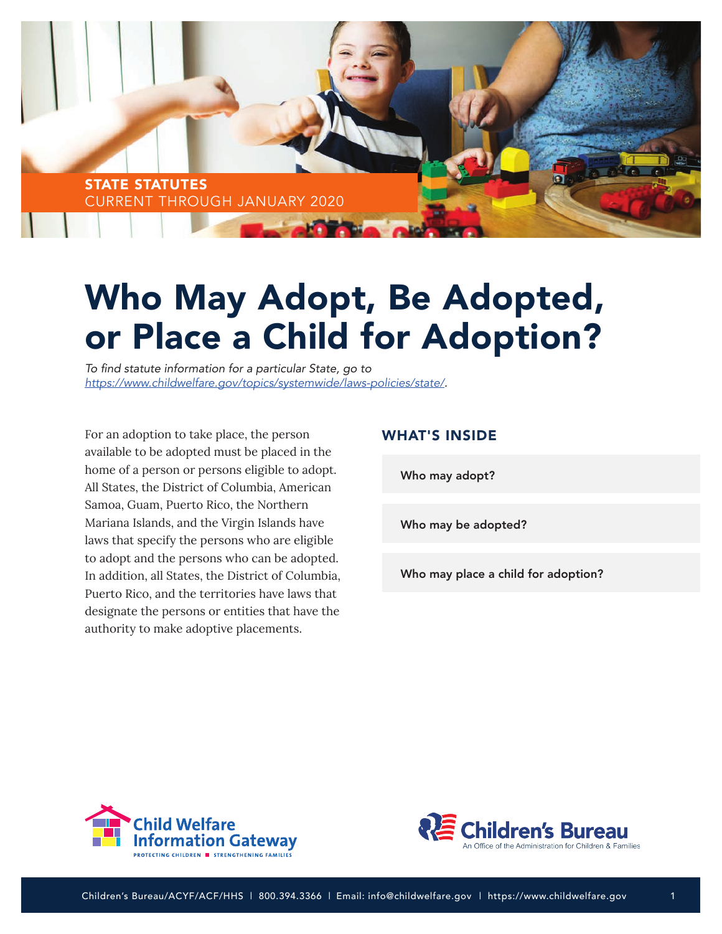

# Who May Adopt, Be Adopted, or Place a Child for Adoption?

To find statute information for a particular State, go to *<https://www.childwelfare.gov/topics/systemwide/laws-policies/state/>.*

For an adoption to take place, the person available to be adopted must be placed in the home of a person or persons eligible to adopt. All States, the District of Columbia, American Samoa, Guam, Puerto Rico, the Northern Mariana Islands, and the Virgin Islands have laws that specify the persons who are eligible to adopt and the persons who can be adopted. In addition, all States, the District of Columbia, Puerto Rico, and the territories have laws that designate the persons or entities that have the authority to make adoptive placements.

# WHAT'S INSIDE

[Who may adopt?](#page-1-0)

[Who may be adopted?](#page-2-0)

[Who may place a child for adoption?](#page-3-0)



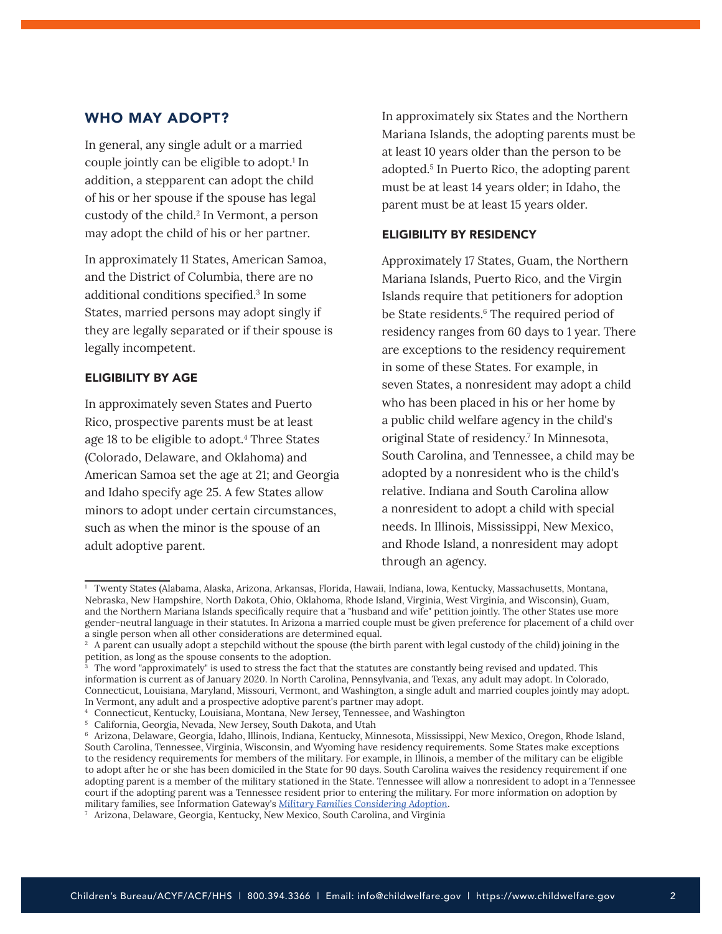# <span id="page-1-0"></span>WHO MAY ADOPT?

In general, any single adult or a married couple jointly can be eligible to adopt.1 In addition, a stepparent can adopt the child of his or her spouse if the spouse has legal custody of the child.<sup>2</sup> In Vermont, a person may adopt the child of his or her partner.

In approximately 11 States, American Samoa, and the District of Columbia, there are no additional conditions specified.<sup>3</sup> In some States, married persons may adopt singly if they are legally separated or if their spouse is legally incompetent.

## ELIGIBILITY BY AGE

In approximately seven States and Puerto Rico, prospective parents must be at least age 18 to be eligible to adopt.<sup>4</sup> Three States (Colorado, Delaware, and Oklahoma) and American Samoa set the age at 21; and Georgia and Idaho specify age 25. A few States allow minors to adopt under certain circumstances, such as when the minor is the spouse of an adult adoptive parent.

In approximately six States and the Northern Mariana Islands, the adopting parents must be at least 10 years older than the person to be adopted.5 In Puerto Rico, the adopting parent must be at least 14 years older; in Idaho, the parent must be at least 15 years older.

#### ELIGIBILITY BY RESIDENCY

Approximately 17 States, Guam, the Northern Mariana Islands, Puerto Rico, and the Virgin Islands require that petitioners for adoption be State residents.<sup>6</sup> The required period of residency ranges from 60 days to 1 year. There are exceptions to the residency requirement in some of these States. For example, in seven States, a nonresident may adopt a child who has been placed in his or her home by a public child welfare agency in the child's original State of residency.<sup>7</sup> In Minnesota, South Carolina, and Tennessee, a child may be adopted by a nonresident who is the child's relative. Indiana and South Carolina allow a nonresident to adopt a child with special needs. In Illinois, Mississippi, New Mexico, and Rhode Island, a nonresident may adopt through an agency.

<sup>1</sup> Twenty States (Alabama, Alaska, Arizona, Arkansas, Florida, Hawaii, Indiana, Iowa, Kentucky, Massachusetts, Montana, Nebraska, New Hampshire, North Dakota, Ohio, Oklahoma, Rhode Island, Virginia, West Virginia, and Wisconsin), Guam, and the Northern Mariana Islands specifically require that a "husband and wife" petition jointly. The other States use more gender-neutral language in their statutes. In Arizona a married couple must be given preference for placement of a child over a single person when all other considerations are determined equal.

<sup>&</sup>lt;sup>2</sup> A parent can usually adopt a stepchild without the spouse (the birth parent with legal custody of the child) joining in the petition, as long as the spouse consents to the adoption.

<sup>&</sup>lt;sup>3</sup> The word "approximately" is used to stress the fact that the statutes are constantly being revised and updated. This information is current as of January 2020. In North Carolina, Pennsylvania, and Texas, any adult may adopt. In Colorado, Connecticut, Louisiana, Maryland, Missouri, Vermont, and Washington, a single adult and married couples jointly may adopt. In Vermont, any adult and a prospective adoptive parent's partner may adopt.

<sup>4</sup> Connecticut, Kentucky, Louisiana, Montana, New Jersey, Tennessee, and Washington

<sup>5</sup> California, Georgia, Nevada, New Jersey, South Dakota, and Utah

<sup>6</sup> Arizona, Delaware, Georgia, Idaho, Illinois, Indiana, Kentucky, Minnesota, Mississippi, New Mexico, Oregon, Rhode Island, South Carolina, Tennessee, Virginia, Wisconsin, and Wyoming have residency requirements. Some States make exceptions to the residency requirements for members of the military. For example, in Illinois, a member of the military can be eligible to adopt after he or she has been domiciled in the State for 90 days. South Carolina waives the residency requirement if one adopting parent is a member of the military stationed in the State. Tennessee will allow a nonresident to adopt in a Tennessee court if the adopting parent was a Tennessee resident prior to entering the military. For more information on adoption by military families, see Information Gateway's *[Military Families Considering Adoption](https://www.childwelfare.gov/pubs/f-milita/)*.

<sup>7</sup> Arizona, Delaware, Georgia, Kentucky, New Mexico, South Carolina, and Virginia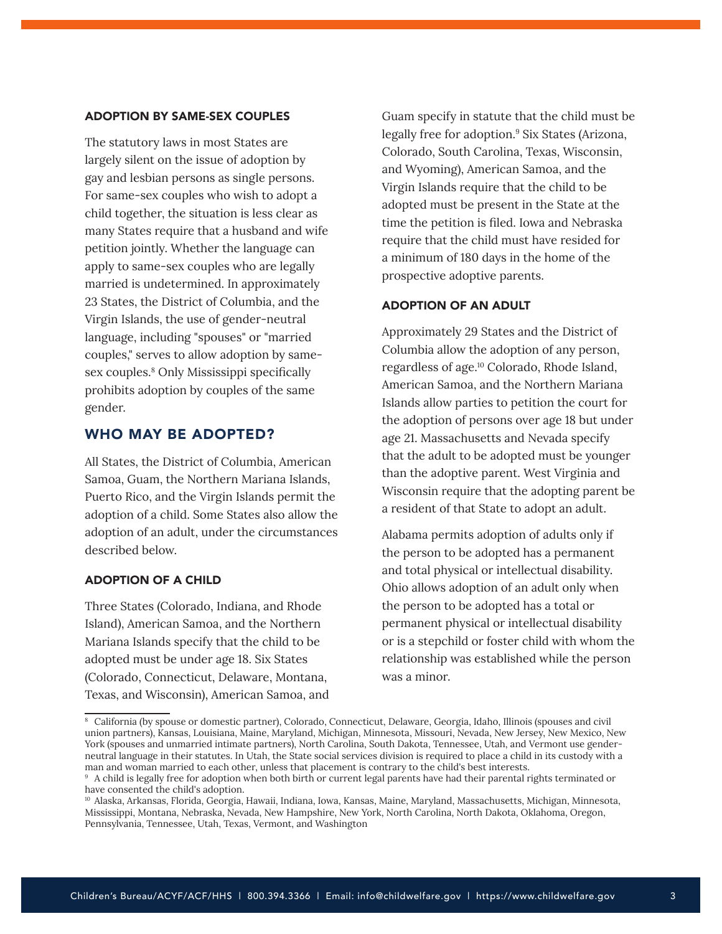## <span id="page-2-0"></span>ADOPTION BY SAME-SEX COUPLES

The statutory laws in most States are largely silent on the issue of adoption by gay and lesbian persons as single persons. For same-sex couples who wish to adopt a child together, the situation is less clear as many States require that a husband and wife petition jointly. Whether the language can apply to same-sex couples who are legally married is undetermined. In approximately 23 States, the District of Columbia, and the Virgin Islands, the use of gender-neutral language, including "spouses" or "married couples," serves to allow adoption by samesex couples.8 Only Mississippi specifically prohibits adoption by couples of the same gender.

# WHO MAY BE ADOPTED?

All States, the District of Columbia, American Samoa, Guam, the Northern Mariana Islands, Puerto Rico, and the Virgin Islands permit the adoption of a child. Some States also allow the adoption of an adult, under the circumstances described below.

#### ADOPTION OF A CHILD

Three States (Colorado, Indiana, and Rhode Island), American Samoa, and the Northern Mariana Islands specify that the child to be adopted must be under age 18. Six States (Colorado, Connecticut, Delaware, Montana, Texas, and Wisconsin), American Samoa, and Guam specify in statute that the child must be legally free for adoption.<sup>9</sup> Six States (Arizona, Colorado, South Carolina, Texas, Wisconsin, and Wyoming), American Samoa, and the Virgin Islands require that the child to be adopted must be present in the State at the time the petition is filed. Iowa and Nebraska require that the child must have resided for a minimum of 180 days in the home of the prospective adoptive parents.

#### ADOPTION OF AN ADULT

Approximately 29 States and the District of Columbia allow the adoption of any person, regardless of age.10 Colorado, Rhode Island, American Samoa, and the Northern Mariana Islands allow parties to petition the court for the adoption of persons over age 18 but under age 21. Massachusetts and Nevada specify that the adult to be adopted must be younger than the adoptive parent. West Virginia and Wisconsin require that the adopting parent be a resident of that State to adopt an adult.

Alabama permits adoption of adults only if the person to be adopted has a permanent and total physical or intellectual disability. Ohio allows adoption of an adult only when the person to be adopted has a total or permanent physical or intellectual disability or is a stepchild or foster child with whom the relationship was established while the person was a minor.

<sup>8</sup> California (by spouse or domestic partner), Colorado, Connecticut, Delaware, Georgia, Idaho, Illinois (spouses and civil union partners), Kansas, Louisiana, Maine, Maryland, Michigan, Minnesota, Missouri, Nevada, New Jersey, New Mexico, New York (spouses and unmarried intimate partners), North Carolina, South Dakota, Tennessee, Utah, and Vermont use genderneutral language in their statutes. In Utah, the State social services division is required to place a child in its custody with a man and woman married to each other, unless that placement is contrary to the child's best interests.

<sup>9</sup> A child is legally free for adoption when both birth or current legal parents have had their parental rights terminated or have consented the child's adoption.

<sup>10</sup> Alaska, Arkansas, Florida, Georgia, Hawaii, Indiana, Iowa, Kansas, Maine, Maryland, Massachusetts, Michigan, Minnesota, Mississippi, Montana, Nebraska, Nevada, New Hampshire, New York, North Carolina, North Dakota, Oklahoma, Oregon, Pennsylvania, Tennessee, Utah, Texas, Vermont, and Washington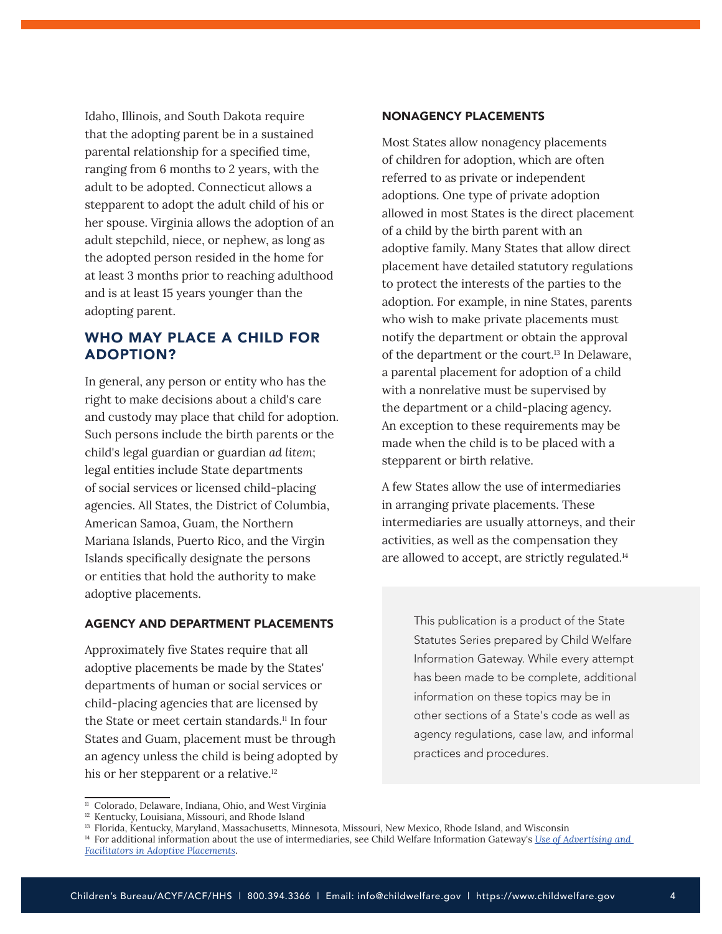<span id="page-3-0"></span>Idaho, Illinois, and South Dakota require that the adopting parent be in a sustained parental relationship for a specified time, ranging from 6 months to 2 years, with the adult to be adopted. Connecticut allows a stepparent to adopt the adult child of his or her spouse. Virginia allows the adoption of an adult stepchild, niece, or nephew, as long as the adopted person resided in the home for at least 3 months prior to reaching adulthood and is at least 15 years younger than the adopting parent.

# WHO MAY PLACE A CHILD FOR ADOPTION?

In general, any person or entity who has the right to make decisions about a child's care and custody may place that child for adoption. Such persons include the birth parents or the child's legal guardian or guardian *ad litem*; legal entities include State departments of social services or licensed child-placing agencies. All States, the District of Columbia, American Samoa, Guam, the Northern Mariana Islands, Puerto Rico, and the Virgin Islands specifically designate the persons or entities that hold the authority to make adoptive placements.

## AGENCY AND DEPARTMENT PLACEMENTS

Approximately five States require that all adoptive placements be made by the States' departments of human or social services or child-placing agencies that are licensed by the State or meet certain standards.<sup>11</sup> In four States and Guam, placement must be through an agency unless the child is being adopted by his or her stepparent or a relative.<sup>12</sup>

#### NONAGENCY PLACEMENTS

Most States allow nonagency placements of children for adoption, which are often referred to as private or independent adoptions. One type of private adoption allowed in most States is the direct placement of a child by the birth parent with an adoptive family. Many States that allow direct placement have detailed statutory regulations to protect the interests of the parties to the adoption. For example, in nine States, parents who wish to make private placements must notify the department or obtain the approval of the department or the court.<sup>13</sup> In Delaware, a parental placement for adoption of a child with a nonrelative must be supervised by the department or a child-placing agency. An exception to these requirements may be made when the child is to be placed with a stepparent or birth relative.

A few States allow the use of intermediaries in arranging private placements. These intermediaries are usually attorneys, and their activities, as well as the compensation they are allowed to accept, are strictly regulated.<sup>14</sup>

> This publication is a product of the State Statutes Series prepared by Child Welfare Information Gateway. While every attempt has been made to be complete, additional information on these topics may be in other sections of a State's code as well as agency regulations, case law, and informal practices and procedures.

<sup>&</sup>lt;sup>11</sup> Colorado, Delaware, Indiana, Ohio, and West Virginia

<sup>&</sup>lt;sup>12</sup> Kentucky, Louisiana, Missouri, and Rhode Island

<sup>13</sup> Florida, Kentucky, Maryland, Massachusetts, Minnesota, Missouri, New Mexico, Rhode Island, and Wisconsin

<sup>14</sup> For additional information about the use of intermediaries, see Child Welfare Information Gateway's *[Use of Advertising and](https://www.childwelfare.gov/topics/systemwide/laws-policies/statutes/advertising/)  [Facilitators in Adoptive Placements](https://www.childwelfare.gov/topics/systemwide/laws-policies/statutes/advertising/)*.